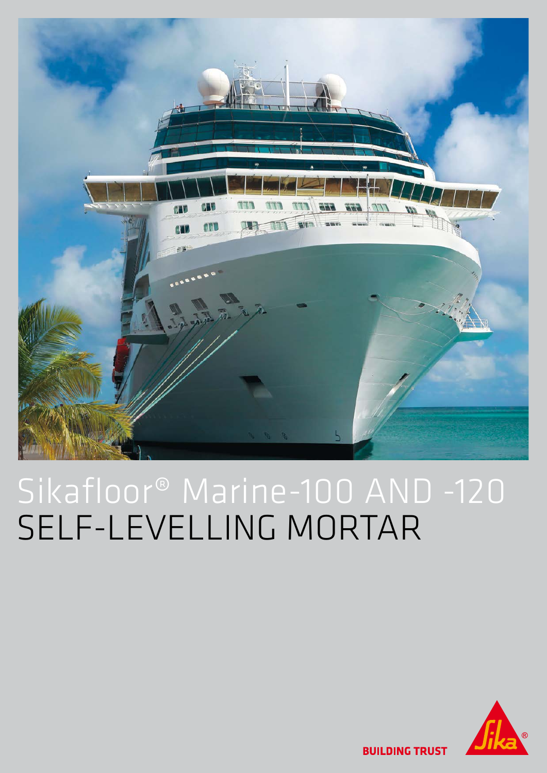

# Sikafloor® Marine-100 AND -120 SELF-LEVELLING MORTAR



**BUILDING TRUST**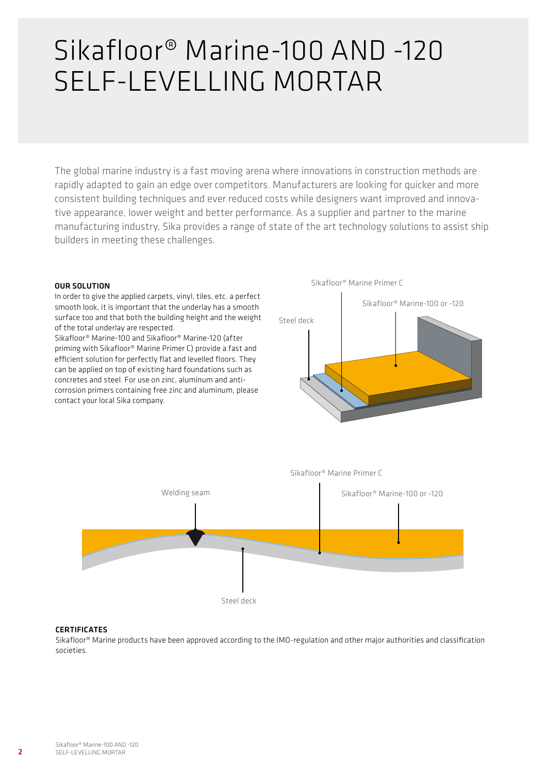# Sikafloor® Marine-100 AND -120 SELF-LEVELLING MORTAR

The global marine industry is a fast moving arena where innovations in construction methods are rapidly adapted to gain an edge over competitors. Manufacturers are looking for quicker and more consistent building techniques and ever reduced costs while designers want improved and innovative appearance, lower weight and better performance. As a supplier and partner to the marine manufacturing industry, Sika provides a range of state of the art technology solutions to assist ship builders in meeting these challenges.

### OUR SOLUTION

In order to give the applied carpets, vinyl, tiles, etc. a perfect smooth look, it is important that the underlay has a smooth surface too and that both the building height and the weight of the total underlay are respected.

Sikafloor® Marine-100 and Sikafloor® Marine-120 (after priming with Sikafloor® Marine Primer C) provide a fast and efficient solution for perfectly flat and levelled floors. They can be applied on top of existing hard foundations such as concretes and steel. For use on zinc, aluminum and anticorrosion primers containing free zinc and aluminum, please contact your local Sika company.





#### **CERTIFICATES**

Sikafloor® Marine products have been approved according to the IMO-regulation and other major authorities and classification societies.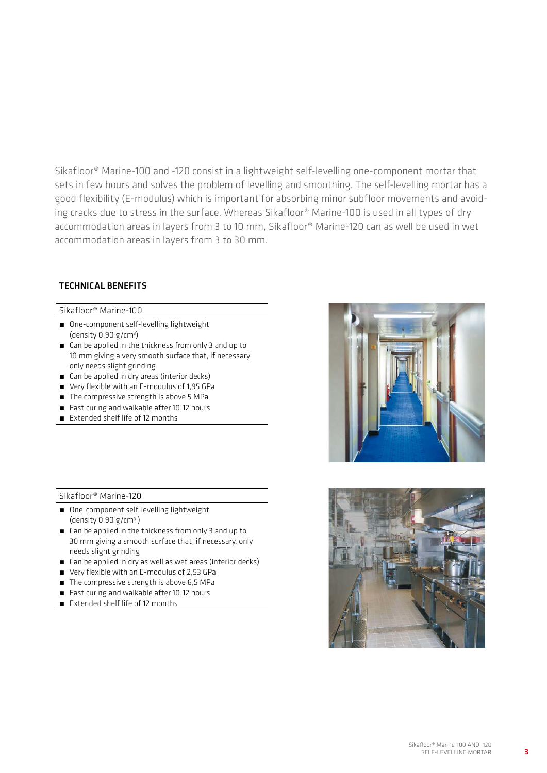Sikafloor® Marine-100 and -120 consist in a lightweight self-levelling one-component mortar that sets in few hours and solves the problem of levelling and smoothing. The self-levelling mortar has a good flexibility (E-modulus) which is important for absorbing minor subfloor movements and avoiding cracks due to stress in the surface. Whereas Sikafloor® Marine-100 is used in all types of dry accommodation areas in layers from 3 to 10 mm, Sikafloor® Marine-120 can as well be used in wet accommodation areas in layers from 3 to 30 mm.

## TECHNICAL BENEFITS

Sikafloor® Marine-100

- One-component self-levelling lightweight (density 0,90 g/cm3 )
- Can be applied in the thickness from only 3 and up to 10 mm giving a very smooth surface that, if necessary only needs slight grinding
- Can be applied in dry areas (interior decks)
- Very flexible with an E-modulus of 1,95 GPa
- **The compressive strength is above 5 MPa**
- Fast curing and walkable after 10-12 hours
- Extended shelf life of 12 months

Sikafloor® Marine-120

- One-component self-levelling lightweight  $(density 0.90 g/cm<sup>3</sup>)$
- Can be applied in the thickness from only 3 and up to 30 mm giving a smooth surface that, if necessary, only needs slight grinding
- Can be applied in dry as well as wet areas (interior decks)
- Very flexible with an E-modulus of 2,53 GPa
- The compressive strength is above 6,5 MPa
- Fast curing and walkable after 10-12 hours
- Extended shelf life of 12 months